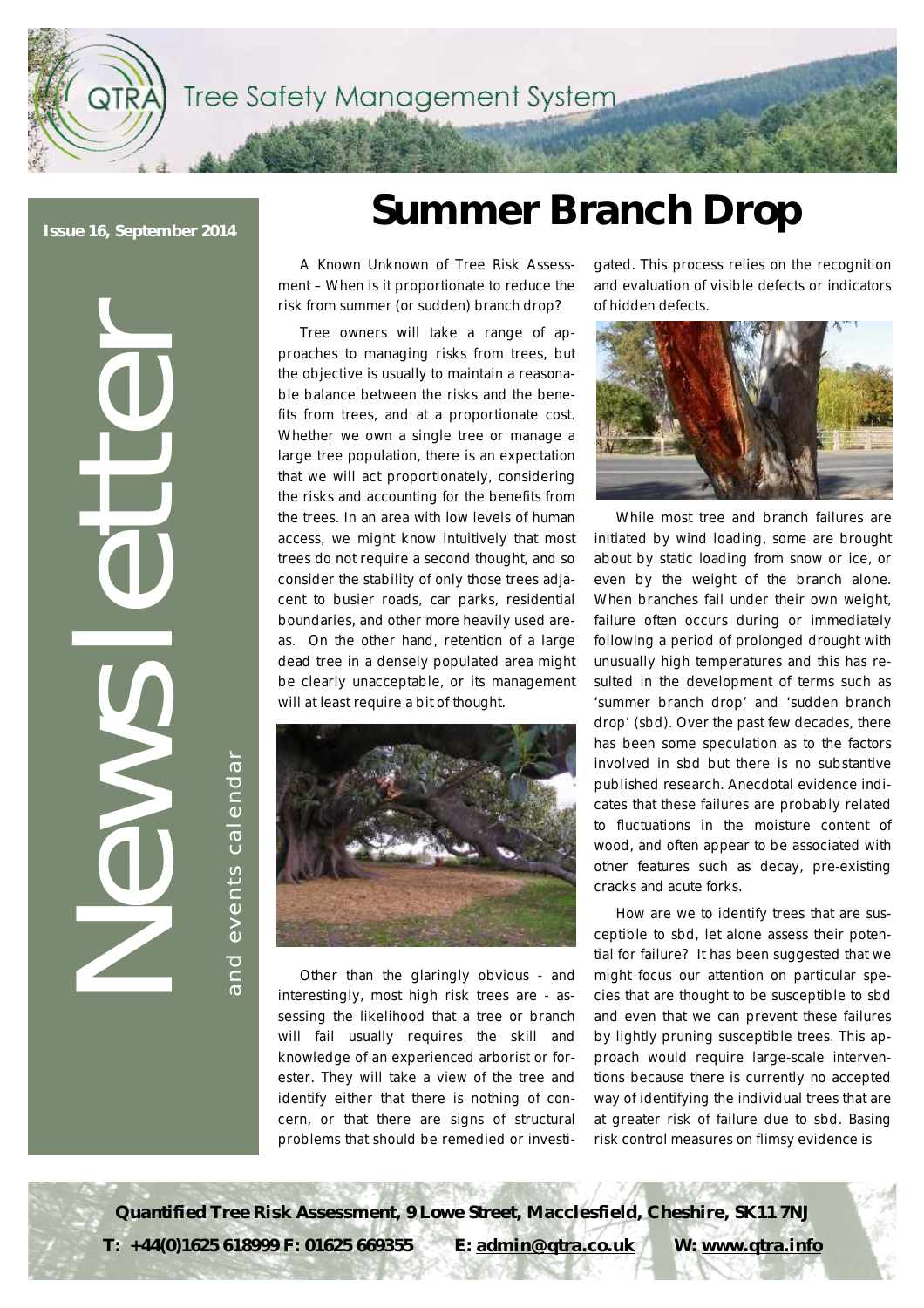Tree Safety Management System

**Issue 16, September 2014** 

OTR)

**etter**

**l** 

 $\overline{\phantom{a}}$ ents  $\overline{a}$ alendari **NEWS** and even ts calendar

e

# **Summer Branch Drop**

A Known Unknown of Tree Risk Assessment – When is it proportionate to reduce the risk from summer (or sudden) branch drop?

Tree owners will take a range of approaches to managing risks from trees, but the objective is usually to maintain a reasonable balance between the risks and the benefits from trees, and at a proportionate cost. Whether we own a single tree or manage a large tree population, there is an expectation that we will act proportionately, considering the risks and accounting for the benefits from the trees. In an area with low levels of human access, we might know intuitively that most trees do not require a second thought, and so consider the stability of only those trees adjacent to busier roads, car parks, residential boundaries, and other more heavily used areas. On the other hand, retention of a large dead tree in a densely populated area might be clearly unacceptable, or its management will at least require a bit of thought.



Other than the glaringly obvious - and interestingly, most high risk trees are - assessing the likelihood that a tree or branch will fail usually requires the skill and knowledge of an experienced arborist or forester. They will take a view of the tree and identify either that there is nothing of concern, or that there are signs of structural problems that should be remedied or investi-

gated. This process relies on the recognition and evaluation of visible defects or indicators of hidden defects.



While most tree and branch failures are initiated by wind loading, some are brought about by static loading from snow or ice, or even by the weight of the branch alone. When branches fail under their own weight, failure often occurs during or immediately following a period of prolonged drought with unusually high temperatures and this has resulted in the development of terms such as 'summer branch drop' and 'sudden branch drop' (sbd). Over the past few decades, there has been some speculation as to the factors involved in sbd but there is no substantive published research. Anecdotal evidence indicates that these failures are probably related to fluctuations in the moisture content of wood, and often appear to be associated with other features such as decay, pre-existing cracks and acute forks.

How are we to identify trees that are susceptible to sbd, let alone assess their potential for failure? It has been suggested that we might focus our attention on particular species that are thought to be susceptible to sbd and even that we can prevent these failures by lightly pruning susceptible trees. This approach would require large-scale interventions because there is currently no accepted way of identifying the individual trees that are at greater risk of failure due to sbd. Basing risk control measures on flimsy evidence is

**Quantified Tree Risk Assessment, 9 Lowe Street, Macclesfield, Cheshire, SK11 7NJ T: +44(0)1625 618999 F: 01625 669355 E: [admin@qtra.co.uk](mailto:admin@qtra.co.uk) W: [www.qtra.info](http://www.qtra.info)**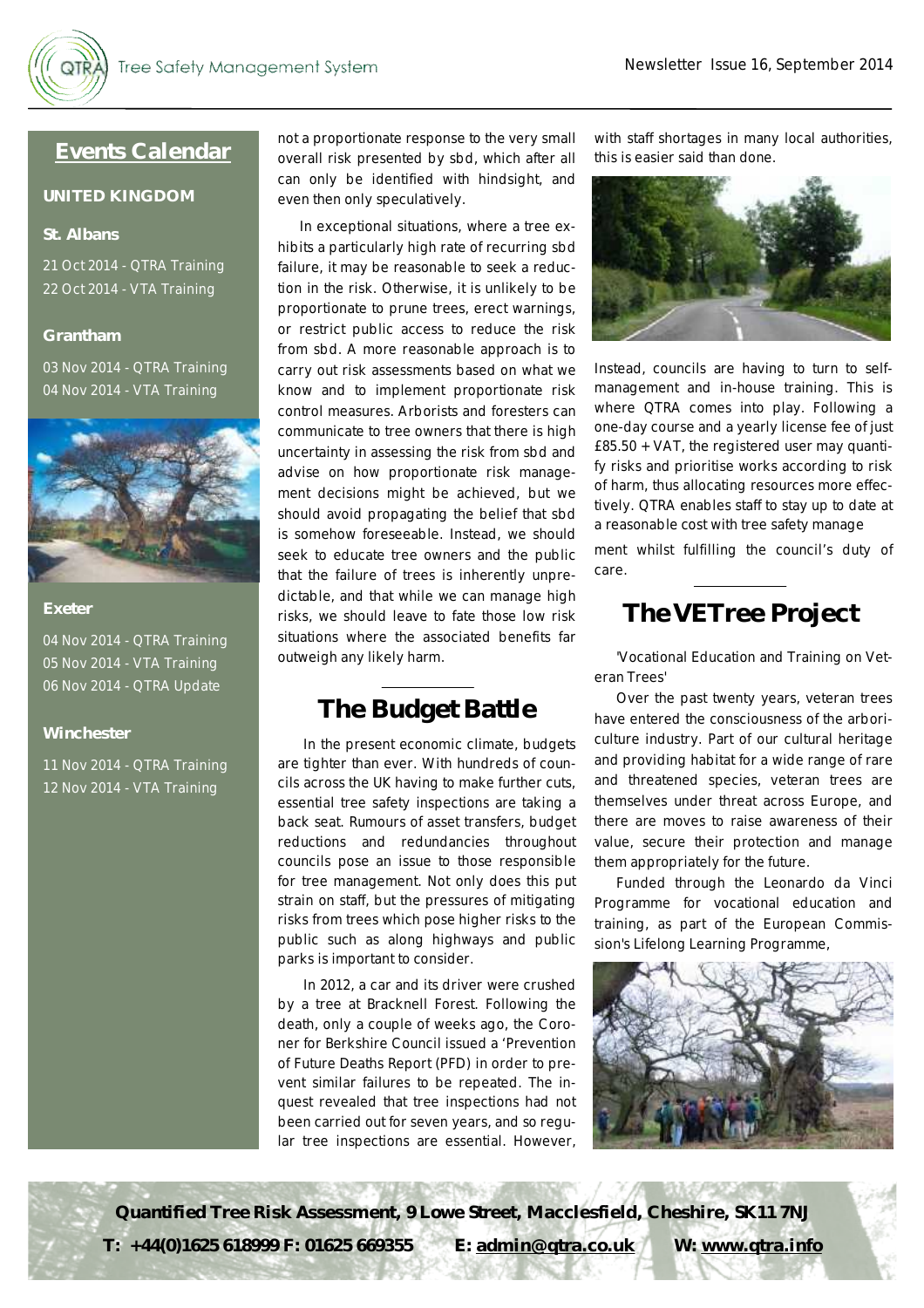### **Events Calendar**

### **UNITED KINGDOM**

### **St. Albans**

21 Oct 2014 - QTRA Training 22 Oct 2014 - VTA Training

### **Grantham**

03 Nov 2014 - QTRA Training 04 Nov 2014 - VTA Training



#### **Exeter**

04 Nov 2014 - QTRA Training 05 Nov 2014 - VTA Training 06 Nov 2014 - QTRA Update

### **Winchester**

11 Nov 2014 - QTRA Training 12 Nov 2014 - VTA Training

not a proportionate response to the very small overall risk presented by sbd, which after all can only be identified with hindsight, and even then only speculatively.

In exceptional situations, where a tree exhibits a particularly high rate of recurring sbd failure, it may be reasonable to seek a reduction in the risk. Otherwise, it is unlikely to be proportionate to prune trees, erect warnings, or restrict public access to reduce the risk from sbd. A more reasonable approach is to carry out risk assessments based on what we know and to implement proportionate risk control measures. Arborists and foresters can communicate to tree owners that there is high uncertainty in assessing the risk from sbd and advise on how proportionate risk management decisions might be achieved, but we should avoid propagating the belief that sbd is somehow foreseeable. Instead, we should seek to educate tree owners and the public that the failure of trees is inherently unpredictable, and that while we can manage high risks, we should leave to fate those low risk situations where the associated benefits far outweigh any likely harm.

## **The Budget Battle**

In the present economic climate, budgets are tighter than ever. With hundreds of councils across the UK having to make further cuts, essential tree safety inspections are taking a back seat. Rumours of asset transfers, budget reductions and redundancies throughout councils pose an issue to those responsible for tree management. Not only does this put strain on staff, but the pressures of mitigating risks from trees which pose higher risks to the public such as along highways and public parks is important to consider.

In 2012, a car and its driver were crushed by a tree at Bracknell Forest. Following the death, only a couple of weeks ago, the Coroner for Berkshire Council issued a 'Prevention of Future Deaths Report (PFD) in order to prevent similar failures to be repeated. The inquest revealed that tree inspections had not been carried out for seven years, and so regular tree inspections are essential. However,

with staff shortages in many local authorities, this is easier said than done.



Instead, councils are having to turn to selfmanagement and in-house training. This is where QTRA comes into play. Following a one-day course and a yearly license fee of just £85.50 + VAT, the registered user may quantify risks and prioritise works according to risk of harm, thus allocating resources more effectively. QTRA enables staff to stay up to date at a reasonable cost with tree safety manage

ment whilst fulfilling the council's duty of care.

### **TheVETree Project**

'Vocational Education and Training on Veteran Trees'

Over the past twenty years, veteran trees have entered the consciousness of the arboriculture industry. Part of our cultural heritage and providing habitat for a wide range of rare and threatened species, veteran trees are themselves under threat across Europe, and there are moves to raise awareness of their value, secure their protection and manage them appropriately for the future.

Funded through the Leonardo da Vinci Programme for vocational education and training, as part of the European Commission's Lifelong Learning Programme,



**Quantified Tree Risk Assessment, 9 Lowe Street, Macclesfield, Cheshire, SK11 7NJ T: +44(0)1625 618999 F: 01625 669355 E: [admin@qtra.co.uk](mailto:admin@qtra.co.uk) W: [www.qtra.info](http://www.qtra.info)**